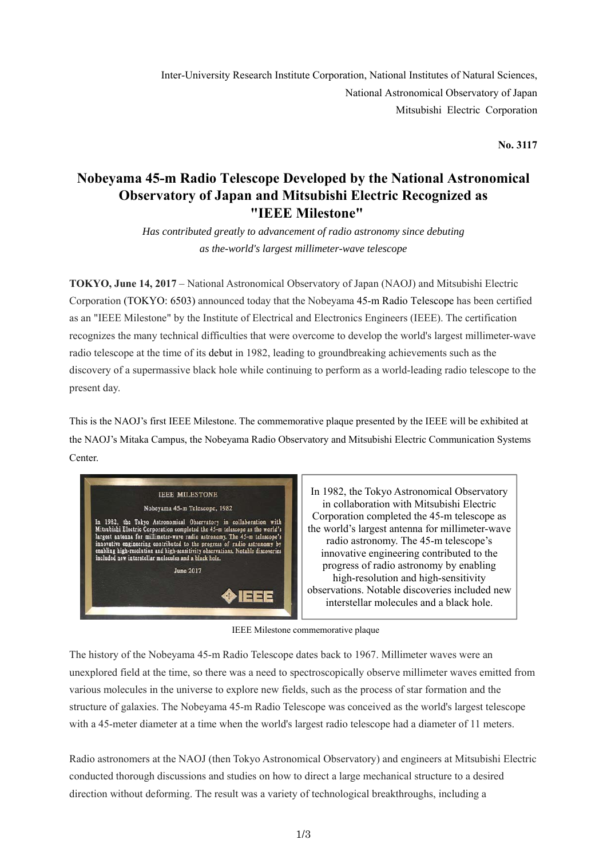Inter-University Research Institute Corporation, National Institutes of Natural Sciences, National Astronomical Observatory of Japan Mitsubishi Electric Corporation

**No. 3117**

# **Nobeyama 45-m Radio Telescope Developed by the National Astronomical Observatory of Japan and Mitsubishi Electric Recognized as "IEEE Milestone"**

*Has contributed greatly to advancement of radio astronomy since debuting as the-world's largest millimeter-wave telescope* 

**TOKYO, June 14, 2017** – National Astronomical Observatory of Japan (NAOJ) and Mitsubishi Electric Corporation (TOKYO: 6503) announced today that the Nobeyama 45-m Radio Telescope has been certified as an "IEEE Milestone" by the Institute of Electrical and Electronics Engineers (IEEE). The certification recognizes the many technical difficulties that were overcome to develop the world's largest millimeter-wave radio telescope at the time of its debut in 1982, leading to groundbreaking achievements such as the discovery of a supermassive black hole while continuing to perform as a world-leading radio telescope to the present day.

This is the NAOJ's first IEEE Milestone. The commemorative plaque presented by the IEEE will be exhibited at the NAOJ's Mitaka Campus, the Nobeyama Radio Observatory and Mitsubishi Electric Communication Systems Center.



In 1982, the Tokyo Astronomical Observatory in collaboration with Mitsubishi Electric Corporation completed the 45-m telescope as the world's largest antenna for millimeter-wave radio astronomy. The 45-m telescope's innovative engineering contributed to the progress of radio astronomy by enabling high-resolution and high-sensitivity observations. Notable discoveries included new interstellar molecules and a black hole.

IEEE Milestone commemorative plaque

The history of the Nobeyama 45-m Radio Telescope dates back to 1967. Millimeter waves were an unexplored field at the time, so there was a need to spectroscopically observe millimeter waves emitted from various molecules in the universe to explore new fields, such as the process of star formation and the structure of galaxies. The Nobeyama 45-m Radio Telescope was conceived as the world's largest telescope with a 45-meter diameter at a time when the world's largest radio telescope had a diameter of 11 meters.

Radio astronomers at the NAOJ (then Tokyo Astronomical Observatory) and engineers at Mitsubishi Electric conducted thorough discussions and studies on how to direct a large mechanical structure to a desired direction without deforming. The result was a variety of technological breakthroughs, including a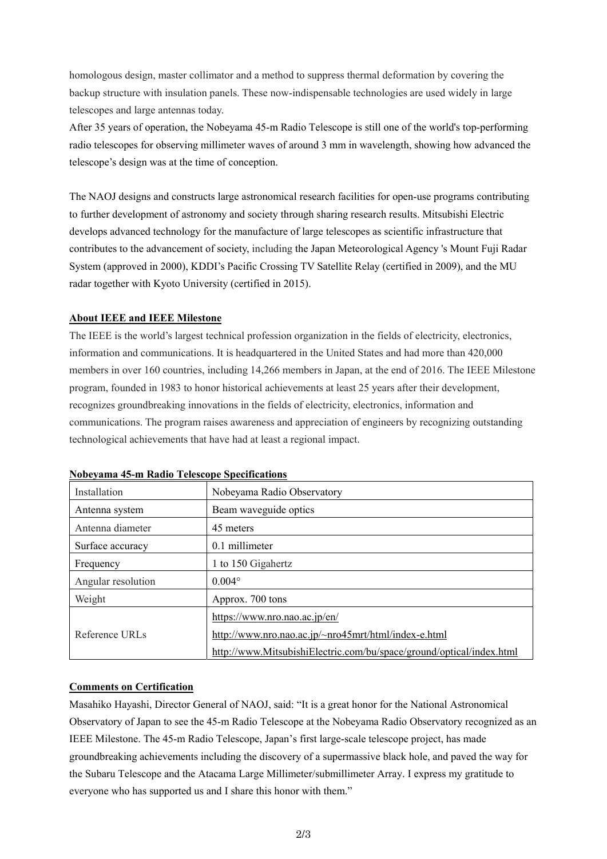homologous design, master collimator and a method to suppress thermal deformation by covering the backup structure with insulation panels. These now-indispensable technologies are used widely in large telescopes and large antennas today.

After 35 years of operation, the Nobeyama 45-m Radio Telescope is still one of the world's top-performing radio telescopes for observing millimeter waves of around 3 mm in wavelength, showing how advanced the telescope's design was at the time of conception.

The NAOJ designs and constructs large astronomical research facilities for open-use programs contributing to further development of astronomy and society through sharing research results. Mitsubishi Electric develops advanced technology for the manufacture of large telescopes as scientific infrastructure that contributes to the advancement of society, including the Japan Meteorological Agency 's Mount Fuji Radar System (approved in 2000), KDDI's Pacific Crossing TV Satellite Relay (certified in 2009), and the MU radar together with Kyoto University (certified in 2015).

## **About IEEE and IEEE Milestone**

The IEEE is the world's largest technical profession organization in the fields of electricity, electronics, information and communications. It is headquartered in the United States and had more than 420,000 members in over 160 countries, including 14,266 members in Japan, at the end of 2016. The IEEE Milestone program, founded in 1983 to honor historical achievements at least 25 years after their development, recognizes groundbreaking innovations in the fields of electricity, electronics, information and communications. The program raises awareness and appreciation of engineers by recognizing outstanding technological achievements that have had at least a regional impact.

| Installation       | Nobeyama Radio Observatory                                           |
|--------------------|----------------------------------------------------------------------|
| Antenna system     | Beam waveguide optics                                                |
| Antenna diameter   | 45 meters                                                            |
| Surface accuracy   | 0.1 millimeter                                                       |
| Frequency          | 1 to 150 Gigahertz                                                   |
| Angular resolution | $0.004^\circ$                                                        |
| Weight             | Approx. 700 tons                                                     |
| Reference URLs     | https://www.nro.nao.ac.jp/en/                                        |
|                    | http://www.nro.nao.ac.jp/~nro45mrt/html/index-e.html                 |
|                    | http://www.MitsubishiElectric.com/bu/space/ground/optical/index.html |

#### **Nobeyama 45-m Radio Telescope Specifications**

## **Comments on Certification**

Masahiko Hayashi, Director General of NAOJ, said: "It is a great honor for the National Astronomical Observatory of Japan to see the 45-m Radio Telescope at the Nobeyama Radio Observatory recognized as an IEEE Milestone. The 45-m Radio Telescope, Japan's first large-scale telescope project, has made groundbreaking achievements including the discovery of a supermassive black hole, and paved the way for the Subaru Telescope and the Atacama Large Millimeter/submillimeter Array. I express my gratitude to everyone who has supported us and I share this honor with them."